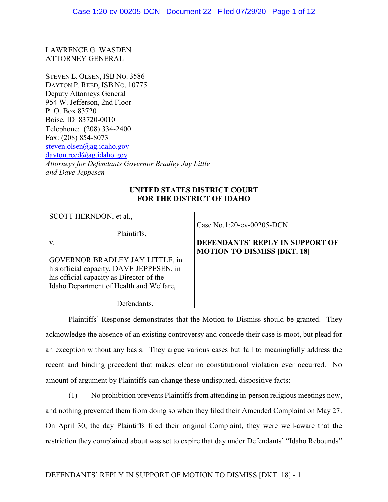LAWRENCE G. WASDEN ATTORNEY GENERAL

STEVEN L. OLSEN, ISB NO. 3586 DAYTON P. REED, ISB NO. 10775 Deputy Attorneys General 954 W. Jefferson, 2nd Floor P. O. Box 83720 Boise, ID 83720-0010 Telephone: (208) 334-2400 Fax: (208) 854-8073 [steven.olsen@ag.idaho.gov](mailto:steven.olsen@ag.idaho.gov) dayton.reed@ag.idaho.gov *Attorneys for Defendants Governor Bradley Jay Little and Dave Jeppesen*

# **UNITED STATES DISTRICT COURT FOR THE DISTRICT OF IDAHO**

SCOTT HERNDON, et al.,

Plaintiffs,

v.

GOVERNOR BRADLEY JAY LITTLE, in his official capacity, DAVE JEPPESEN, in his official capacity as Director of the Idaho Department of Health and Welfare,

Case No.1:20-cv-00205-DCN

# **DEFENDANTS' REPLY IN SUPPORT OF MOTION TO DISMISS [DKT. 18]**

Defendants.

Plaintiffs' Response demonstrates that the Motion to Dismiss should be granted. They acknowledge the absence of an existing controversy and concede their case is moot, but plead for an exception without any basis. They argue various cases but fail to meaningfully address the recent and binding precedent that makes clear no constitutional violation ever occurred. No amount of argument by Plaintiffs can change these undisputed, dispositive facts:

(1) No prohibition prevents Plaintiffs from attending in-person religious meetings now, and nothing prevented them from doing so when they filed their Amended Complaint on May 27. On April 30, the day Plaintiffs filed their original Complaint, they were well-aware that the restriction they complained about was set to expire that day under Defendants' "Idaho Rebounds"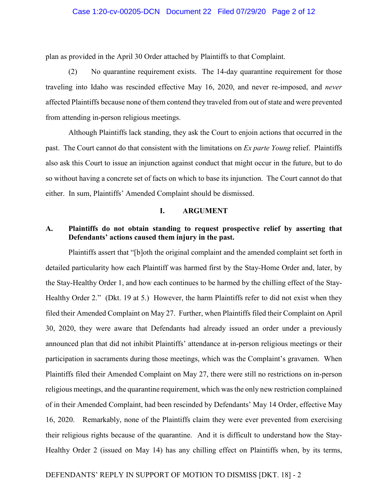## Case 1:20-cv-00205-DCN Document 22 Filed 07/29/20 Page 2 of 12

plan as provided in the April 30 Order attached by Plaintiffs to that Complaint.

(2) No quarantine requirement exists. The 14-day quarantine requirement for those traveling into Idaho was rescinded effective May 16, 2020, and never re-imposed, and *never* affected Plaintiffs because none of them contend they traveled from out of state and were prevented from attending in-person religious meetings.

Although Plaintiffs lack standing, they ask the Court to enjoin actions that occurred in the past. The Court cannot do that consistent with the limitations on *Ex parte Young* relief. Plaintiffs also ask this Court to issue an injunction against conduct that might occur in the future, but to do so without having a concrete set of facts on which to base its injunction. The Court cannot do that either. In sum, Plaintiffs' Amended Complaint should be dismissed.

## **I. ARGUMENT**

## **A. Plaintiffs do not obtain standing to request prospective relief by asserting that Defendants' actions caused them injury in the past.**

Plaintiffs assert that "[b]oth the original complaint and the amended complaint set forth in detailed particularity how each Plaintiff was harmed first by the Stay-Home Order and, later, by the Stay-Healthy Order 1, and how each continues to be harmed by the chilling effect of the Stay-Healthy Order 2." (Dkt. 19 at 5.) However, the harm Plaintiffs refer to did not exist when they filed their Amended Complaint on May 27. Further, when Plaintiffs filed their Complaint on April 30, 2020, they were aware that Defendants had already issued an order under a previously announced plan that did not inhibit Plaintiffs' attendance at in-person religious meetings or their participation in sacraments during those meetings, which was the Complaint's gravamen. When Plaintiffs filed their Amended Complaint on May 27, there were still no restrictions on in-person religious meetings, and the quarantine requirement, which was the only new restriction complained of in their Amended Complaint, had been rescinded by Defendants' May 14 Order, effective May 16, 2020. Remarkably, none of the Plaintiffs claim they were ever prevented from exercising their religious rights because of the quarantine. And it is difficult to understand how the Stay-Healthy Order 2 (issued on May 14) has any chilling effect on Plaintiffs when, by its terms,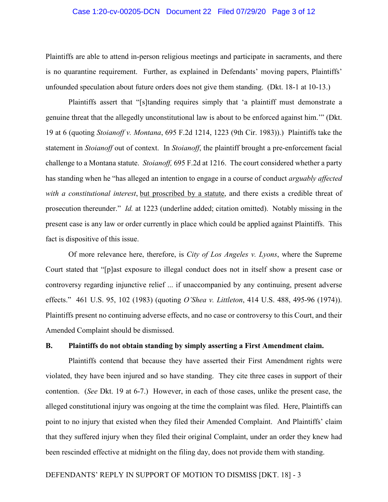## Case 1:20-cv-00205-DCN Document 22 Filed 07/29/20 Page 3 of 12

Plaintiffs are able to attend in-person religious meetings and participate in sacraments, and there is no quarantine requirement. Further, as explained in Defendants' moving papers, Plaintiffs' unfounded speculation about future orders does not give them standing. (Dkt. 18-1 at 10-13.)

Plaintiffs assert that "[s]tanding requires simply that 'a plaintiff must demonstrate a genuine threat that the allegedly unconstitutional law is about to be enforced against him.'" (Dkt. 19 at 6 (quoting *Stoianoff v. Montana*, 695 F.2d 1214, 1223 (9th Cir. 1983)).) Plaintiffs take the statement in *Stoianoff* out of context. In *Stoianoff*, the plaintiff brought a pre-enforcement facial challenge to a Montana statute. *Stoianoff,* 695 F.2d at 1216. The court considered whether a party has standing when he "has alleged an intention to engage in a course of conduct *arguably affected with a constitutional interest*, but proscribed by a statute, and there exists a credible threat of prosecution thereunder." *Id.* at 1223 (underline added; citation omitted). Notably missing in the present case is any law or order currently in place which could be applied against Plaintiffs. This fact is dispositive of this issue.

Of more relevance here, therefore, is *City of Los Angeles v. Lyons*, where the Supreme Court stated that "[p]ast exposure to illegal conduct does not in itself show a present case or controversy regarding injunctive relief ... if unaccompanied by any continuing, present adverse effects." 461 U.S. 95, 102 (1983) (quoting *O'Shea v. Littleton*, 414 U.S. 488, 495-96 (1974)). Plaintiffs present no continuing adverse effects, and no case or controversy to this Court, and their Amended Complaint should be dismissed.

# **B. Plaintiffs do not obtain standing by simply asserting a First Amendment claim.**

Plaintiffs contend that because they have asserted their First Amendment rights were violated, they have been injured and so have standing. They cite three cases in support of their contention. (*See* Dkt. 19 at 6-7.) However, in each of those cases, unlike the present case, the alleged constitutional injury was ongoing at the time the complaint was filed. Here, Plaintiffs can point to no injury that existed when they filed their Amended Complaint. And Plaintiffs' claim that they suffered injury when they filed their original Complaint, under an order they knew had been rescinded effective at midnight on the filing day, does not provide them with standing.

## DEFENDANTS' REPLY IN SUPPORT OF MOTION TO DISMISS [DKT. 18] - 3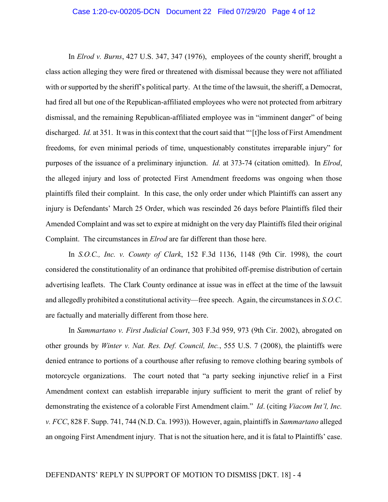In *Elrod v. Burns*, 427 U.S. 347, 347 (1976), employees of the county sheriff, brought a class action alleging they were fired or threatened with dismissal because they were not affiliated with or supported by the sheriff's political party. At the time of the lawsuit, the sheriff, a Democrat, had fired all but one of the Republican-affiliated employees who were not protected from arbitrary dismissal, and the remaining Republican-affiliated employee was in "imminent danger" of being discharged. *Id.* at 351. It was in this context that the court said that "'[t]he loss of First Amendment freedoms, for even minimal periods of time, unquestionably constitutes irreparable injury" for purposes of the issuance of a preliminary injunction. *Id.* at 373-74 (citation omitted). In *Elrod*, the alleged injury and loss of protected First Amendment freedoms was ongoing when those plaintiffs filed their complaint. In this case, the only order under which Plaintiffs can assert any injury is Defendants' March 25 Order, which was rescinded 26 days before Plaintiffs filed their Amended Complaint and was set to expire at midnight on the very day Plaintiffs filed their original Complaint. The circumstances in *Elrod* are far different than those here.

In *S.O.C., Inc. v. County of Clark*, 152 F.3d 1136, 1148 (9th Cir. 1998), the court considered the constitutionality of an ordinance that prohibited off-premise distribution of certain advertising leaflets. The Clark County ordinance at issue was in effect at the time of the lawsuit and allegedly prohibited a constitutional activity—free speech. Again, the circumstances in *S.O.C*. are factually and materially different from those here.

In *Sammartano v. First Judicial Court*, 303 F.3d 959, 973 (9th Cir. 2002), abrogated on other grounds by *Winter v. Nat. Res. Def. Council, Inc.*, 555 U.S. 7 (2008), the plaintiffs were denied entrance to portions of a courthouse after refusing to remove clothing bearing symbols of motorcycle organizations. The court noted that "a party seeking injunctive relief in a First Amendment context can establish irreparable injury sufficient to merit the grant of relief by demonstrating the existence of a colorable First Amendment claim." *Id*. (citing *Viacom Int'l, Inc. v. FCC*, 828 F. Supp. 741, 744 (N.D. Ca. 1993)). However, again, plaintiffs in *Sammartano* alleged an ongoing First Amendment injury. That is not the situation here, and it is fatal to Plaintiffs' case.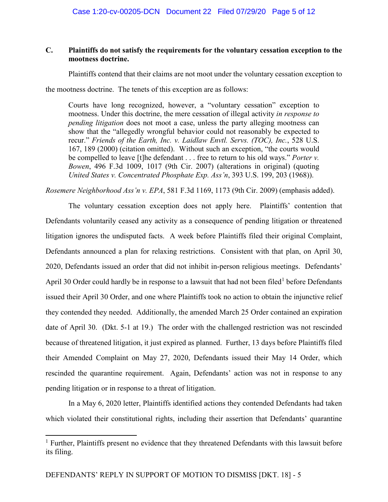# **C. Plaintiffs do not satisfy the requirements for the voluntary cessation exception to the mootness doctrine.**

Plaintiffs contend that their claims are not moot under the voluntary cessation exception to

the mootness doctrine. The tenets of this exception are as follows:

Courts have long recognized, however, a "voluntary cessation" exception to mootness. Under this doctrine, the mere cessation of illegal activity *in response to pending litigation* does not moot a case, unless the party alleging mootness can show that the "allegedly wrongful behavior could not reasonably be expected to recur." *Friends of the Earth, Inc. v. Laidlaw Envtl. Servs. (TOC), Inc.*, 528 U.S. 167, 189 (2000) (citation omitted). Without such an exception, "the courts would be compelled to leave [t]he defendant . . . free to return to his old ways." *Porter v. Bowen*, 496 F.3d 1009, 1017 (9th Cir. 2007) (alterations in original) (quoting *United States v. Concentrated Phosphate Exp. Ass'n*, 393 U.S. 199, 203 (1968)).

*Rosemere Neighborhood Ass'n v. EPA*, 581 F.3d 1169, 1173 (9th Cir. 2009) (emphasis added).

The voluntary cessation exception does not apply here. Plaintiffs' contention that Defendants voluntarily ceased any activity as a consequence of pending litigation or threatened litigation ignores the undisputed facts. A week before Plaintiffs filed their original Complaint, Defendants announced a plan for relaxing restrictions. Consistent with that plan, on April 30, 2020, Defendants issued an order that did not inhibit in-person religious meetings. Defendants' April 30 Order could hardly be in response to a lawsuit that had not been filed<sup>1</sup> before Defendants issued their April 30 Order, and one where Plaintiffs took no action to obtain the injunctive relief they contended they needed. Additionally, the amended March 25 Order contained an expiration date of April 30. (Dkt. 5-1 at 19.) The order with the challenged restriction was not rescinded because of threatened litigation, it just expired as planned. Further, 13 days before Plaintiffs filed their Amended Complaint on May 27, 2020, Defendants issued their May 14 Order, which rescinded the quarantine requirement. Again, Defendants' action was not in response to any pending litigation or in response to a threat of litigation.

In a May 6, 2020 letter, Plaintiffs identified actions they contended Defendants had taken which violated their constitutional rights, including their assertion that Defendants' quarantine

 $\overline{\phantom{a}}$ 

<sup>&</sup>lt;sup>1</sup> Further, Plaintiffs present no evidence that they threatened Defendants with this lawsuit before its filing.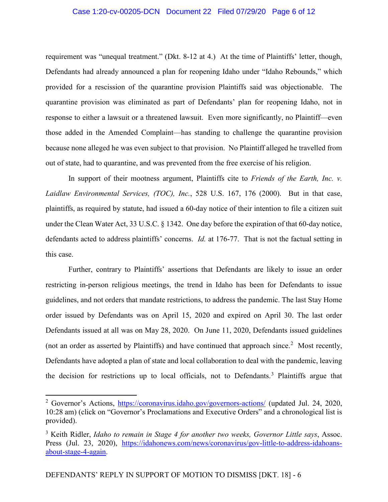## Case 1:20-cv-00205-DCN Document 22 Filed 07/29/20 Page 6 of 12

requirement was "unequal treatment." (Dkt. 8-12 at 4.) At the time of Plaintiffs' letter, though, Defendants had already announced a plan for reopening Idaho under "Idaho Rebounds," which provided for a rescission of the quarantine provision Plaintiffs said was objectionable. The quarantine provision was eliminated as part of Defendants' plan for reopening Idaho, not in response to either a lawsuit or a threatened lawsuit. Even more significantly, no Plaintiff—even those added in the Amended Complaint—has standing to challenge the quarantine provision because none alleged he was even subject to that provision. No Plaintiff alleged he travelled from out of state, had to quarantine, and was prevented from the free exercise of his religion.

In support of their mootness argument, Plaintiffs cite to *Friends of the Earth, Inc. v. Laidlaw Environmental Services, (TOC), Inc.*, 528 U.S. 167, 176 (2000). But in that case, plaintiffs, as required by statute, had issued a 60-day notice of their intention to file a citizen suit under the Clean Water Act, 33 U.S.C. § 1342. One day before the expiration of that 60-day notice, defendants acted to address plaintiffs' concerns. *Id.* at 176-77. That is not the factual setting in this case.

Further, contrary to Plaintiffs' assertions that Defendants are likely to issue an order restricting in-person religious meetings, the trend in Idaho has been for Defendants to issue guidelines, and not orders that mandate restrictions, to address the pandemic. The last Stay Home order issued by Defendants was on April 15, 2020 and expired on April 30. The last order Defendants issued at all was on May 28, 2020. On June 11, 2020, Defendants issued guidelines (not an order as asserted by Plaintiffs) and have continued that approach since.<sup>2</sup> Most recently, Defendants have adopted a plan of state and local collaboration to deal with the pandemic, leaving the decision for restrictions up to local officials, not to Defendants. <sup>3</sup> Plaintiffs argue that

 $\overline{\phantom{a}}$ 

<sup>&</sup>lt;sup>2</sup> Governor's Actions, <https://coronavirus.idaho.gov/governors-actions/> (updated Jul. 24, 2020, 10:28 am) (click on "Governor's Proclamations and Executive Orders" and a chronological list is provided).

<sup>3</sup> Keith Ridler, *Idaho to remain in Stage 4 for another two weeks, Governor Little says*, Assoc. Press (Jul. 23, 2020), [https://idahonews.com/news/coronavirus/gov-little-to-address-idahoans](https://idahonews.com/news/coronavirus/gov-little-to-address-idahoans-about-stage-4-again)[about-stage-4-again.](https://idahonews.com/news/coronavirus/gov-little-to-address-idahoans-about-stage-4-again)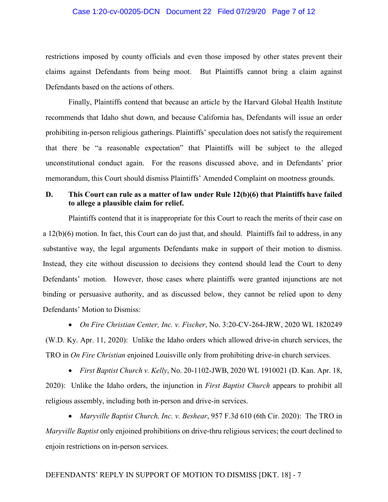## Case 1:20-cv-00205-DCN Document 22 Filed 07/29/20 Page 7 of 12

restrictions imposed by county officials and even those imposed by other states prevent their claims against Defendants from being moot. But Plaintiffs cannot bring a claim against Defendants based on the actions of others.

Finally, Plaintiffs contend that because an article by the Harvard Global Health Institute recommends that Idaho shut down, and because California has, Defendants will issue an order prohibiting in-person religious gatherings. Plaintiffs' speculation does not satisfy the requirement that there be "a reasonable expectation" that Plaintiffs will be subject to the alleged unconstitutional conduct again. For the reasons discussed above, and in Defendants' prior memorandum, this Court should dismiss Plaintiffs' Amended Complaint on mootness grounds.

# **D. This Court can rule as a matter of law under Rule 12(b)(6) that Plaintiffs have failed to allege a plausible claim for relief.**

Plaintiffs contend that it is inappropriate for this Court to reach the merits of their case on a 12(b)(6) motion. In fact, this Court can do just that, and should. Plaintiffs fail to address, in any substantive way, the legal arguments Defendants make in support of their motion to dismiss. Instead, they cite without discussion to decisions they contend should lead the Court to deny Defendants' motion. However, those cases where plaintiffs were granted injunctions are not binding or persuasive authority, and as discussed below, they cannot be relied upon to deny Defendants' Motion to Dismiss:

• *On Fire Christian Center, Inc. v. Fischer*, No. 3:20-CV-264-JRW, 2020 WL 1820249 (W.D. Ky. Apr. 11, 2020):Unlike the Idaho orders which allowed drive-in church services, the TRO in *On Fire Christian* enjoined Louisville only from prohibiting drive-in church services.

• *First Baptist Church v. Kelly*, No. 20-1102-JWB, 2020 WL 1910021 (D. Kan. Apr. 18, 2020):Unlike the Idaho orders, the injunction in *First Baptist Church* appears to prohibit all religious assembly, including both in-person and drive-in services.

• *Maryville Baptist Church, Inc. v. Beshear*, 957 F.3d 610 (6th Cir. 2020):The TRO in *Maryville Baptist* only enjoined prohibitions on drive-thru religious services; the court declined to enjoin restrictions on in-person services.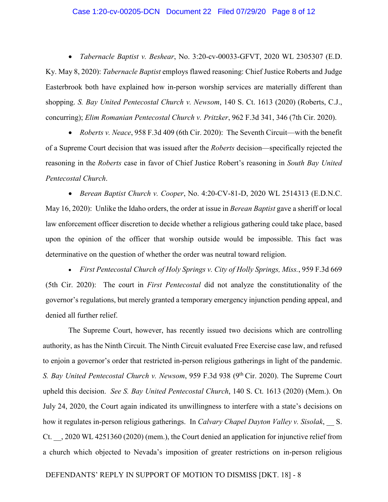#### Case 1:20-cv-00205-DCN Document 22 Filed 07/29/20 Page 8 of 12

• *Tabernacle Baptist v. Beshear*, No. 3:20-cv-00033-GFVT, 2020 WL 2305307 (E.D. Ky. May 8, 2020): *Tabernacle Baptist* employs flawed reasoning: Chief Justice Roberts and Judge Easterbrook both have explained how in-person worship services are materially different than shopping. *S. Bay United Pentecostal Church v. Newsom*, 140 S. Ct. 1613 (2020) (Roberts, C.J., concurring); *Elim Romanian Pentecostal Church v. Pritzker*, 962 F.3d 341, 346 (7th Cir. 2020).

• *Roberts v. Neace*, 958 F.3d 409 (6th Cir. 2020):The Seventh Circuit—with the benefit of a Supreme Court decision that was issued after the *Roberts* decision—specifically rejected the reasoning in the *Roberts* case in favor of Chief Justice Robert's reasoning in *South Bay United Pentecostal Church*.

• *Berean Baptist Church v. Cooper*, No. 4:20-CV-81-D, 2020 WL 2514313 (E.D.N.C. May 16, 2020):Unlike the Idaho orders, the order at issue in *Berean Baptist* gave a sheriff or local law enforcement officer discretion to decide whether a religious gathering could take place, based upon the opinion of the officer that worship outside would be impossible. This fact was determinative on the question of whether the order was neutral toward religion.

• *First Pentecostal Church of Holy Springs v. City of Holly Springs, Miss.*, 959 F.3d 669 (5th Cir. 2020):The court in *First Pentecostal* did not analyze the constitutionality of the governor's regulations, but merely granted a temporary emergency injunction pending appeal, and denied all further relief.

The Supreme Court, however, has recently issued two decisions which are controlling authority, as has the Ninth Circuit. The Ninth Circuit evaluated Free Exercise case law, and refused to enjoin a governor's order that restricted in-person religious gatherings in light of the pandemic. *S. Bay United Pentecostal Church v. Newsom,* 959 F.3d 938 (9<sup>th</sup> Cir. 2020). The Supreme Court upheld this decision. *See S. Bay United Pentecostal Church*, 140 S. Ct. 1613 (2020) (Mem.). On July 24, 2020, the Court again indicated its unwillingness to interfere with a state's decisions on how it regulates in-person religious gatherings. In *Calvary Chapel Dayton Valley v. Sisolak*, S. Ct. \_\_, 2020 WL 4251360 (2020) (mem.), the Court denied an application for injunctive relief from a church which objected to Nevada's imposition of greater restrictions on in-person religious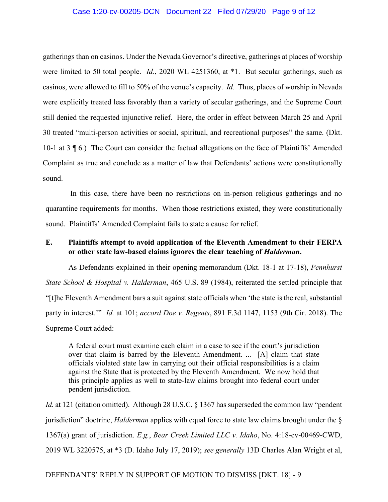## Case 1:20-cv-00205-DCN Document 22 Filed 07/29/20 Page 9 of 12

gatherings than on casinos. Under the Nevada Governor's directive, gatherings at places of worship were limited to 50 total people. *Id.*, 2020 WL 4251360, at \*1. But secular gatherings, such as casinos, were allowed to fill to 50% of the venue's capacity. *Id.* Thus, places of worship in Nevada were explicitly treated less favorably than a variety of secular gatherings, and the Supreme Court still denied the requested injunctive relief. Here, the order in effect between March 25 and April 30 treated "multi-person activities or social, spiritual, and recreational purposes" the same. (Dkt. 10-1 at 3 ¶ 6.) The Court can consider the factual allegations on the face of Plaintiffs' Amended Complaint as true and conclude as a matter of law that Defendants' actions were constitutionally sound.

In this case, there have been no restrictions on in-person religious gatherings and no quarantine requirements for months. When those restrictions existed, they were constitutionally sound. Plaintiffs' Amended Complaint fails to state a cause for relief.

# **E. Plaintiffs attempt to avoid application of the Eleventh Amendment to their FERPA or other state law-based claims ignores the clear teaching of** *Halderman***.**

As Defendants explained in their opening memorandum (Dkt. 18-1 at 17-18), *Pennhurst State School & Hospital v. Halderman*, 465 U.S. 89 (1984), reiterated the settled principle that "[t]he Eleventh Amendment bars a suit against state officials when 'the state is the real, substantial party in interest.'" *Id.* at 101; *accord Doe v. Regents*, 891 F.3d 1147, 1153 (9th Cir. 2018). The Supreme Court added:

A federal court must examine each claim in a case to see if the court's jurisdiction over that claim is barred by the Eleventh Amendment. ... [A] claim that state officials violated state law in carrying out their official responsibilities is a claim against the State that is protected by the Eleventh Amendment. We now hold that this principle applies as well to state-law claims brought into federal court under pendent jurisdiction.

*Id.* at 121 (citation omitted). Although 28 U.S.C. § 1367 has superseded the common law "pendent" jurisdiction" doctrine, *Halderman* applies with equal force to state law claims brought under the § 1367(a) grant of jurisdiction. *E.g.*, *Bear Creek Limited LLC v. Idaho*, No. 4:18-cv-00469-CWD, 2019 WL 3220575, at \*3 (D. Idaho July 17, 2019); *see generally* 13D Charles Alan Wright et al,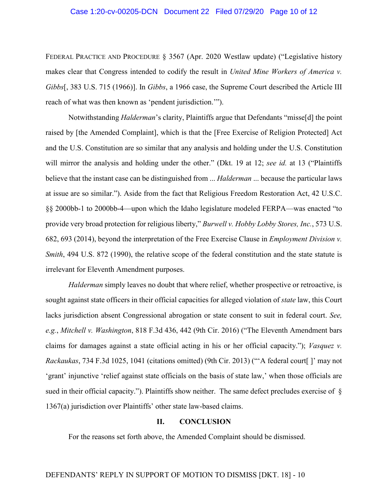## Case 1:20-cv-00205-DCN Document 22 Filed 07/29/20 Page 10 of 12

FEDERAL PRACTICE AND PROCEDURE § 3567 (Apr. 2020 Westlaw update) ("Legislative history makes clear that Congress intended to codify the result in *United Mine Workers of America v. Gibbs*[, 383 U.S. 715 (1966)]. In *Gibbs*, a 1966 case, the Supreme Court described the Article III reach of what was then known as 'pendent jurisdiction.'").

Notwithstanding *Halderman*'s clarity, Plaintiffs argue that Defendants "misse[d] the point raised by [the Amended Complaint], which is that the [Free Exercise of Religion Protected] Act and the U.S. Constitution are so similar that any analysis and holding under the U.S. Constitution will mirror the analysis and holding under the other." (Dkt. 19 at 12; *see id.* at 13 ("Plaintiffs believe that the instant case can be distinguished from ... *Halderman* ... because the particular laws at issue are so similar."). Aside from the fact that Religious Freedom Restoration Act, 42 U.S.C. §§ 2000bb-1 to 2000bb-4—upon which the Idaho legislature modeled FERPA—was enacted "to provide very broad protection for religious liberty," *Burwell v. Hobby Lobby Stores, Inc.*, 573 U.S. 682, 693 (2014), beyond the interpretation of the Free Exercise Clause in *Employment Division v. Smith*, 494 U.S. 872 (1990), the relative scope of the federal constitution and the state statute is irrelevant for Eleventh Amendment purposes.

*Halderman* simply leaves no doubt that where relief, whether prospective or retroactive, is sought against state officers in their official capacities for alleged violation of *state* law, this Court lacks jurisdiction absent Congressional abrogation or state consent to suit in federal court. *See, e.g.*, *Mitchell v. Washington*, 818 F.3d 436, 442 (9th Cir. 2016) ("The Eleventh Amendment bars claims for damages against a state official acting in his or her official capacity."); *Vasquez v. Rackaukas*, 734 F.3d 1025, 1041 (citations omitted) (9th Cir. 2013) ("'A federal court[ ]' may not 'grant' injunctive 'relief against state officials on the basis of state law,' when those officials are sued in their official capacity."). Plaintiffs show neither. The same defect precludes exercise of § 1367(a) jurisdiction over Plaintiffs' other state law-based claims.

### **II. CONCLUSION**

For the reasons set forth above, the Amended Complaint should be dismissed.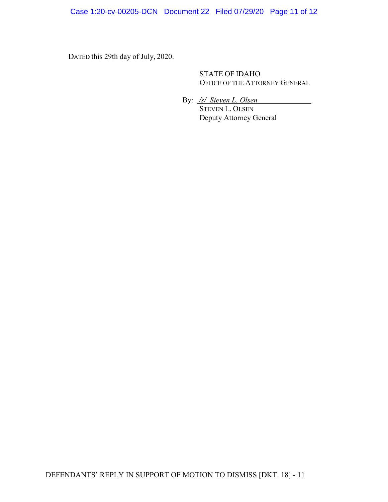Case 1:20-cv-00205-DCN Document 22 Filed 07/29/20 Page 11 of 12

DATED this 29th day of July, 2020.

STATE OF IDAHO OFFICE OF THE ATTORNEY GENERAL

By: */s/ Steven L. Olsen*

STEVEN L. OLSEN Deputy Attorney General